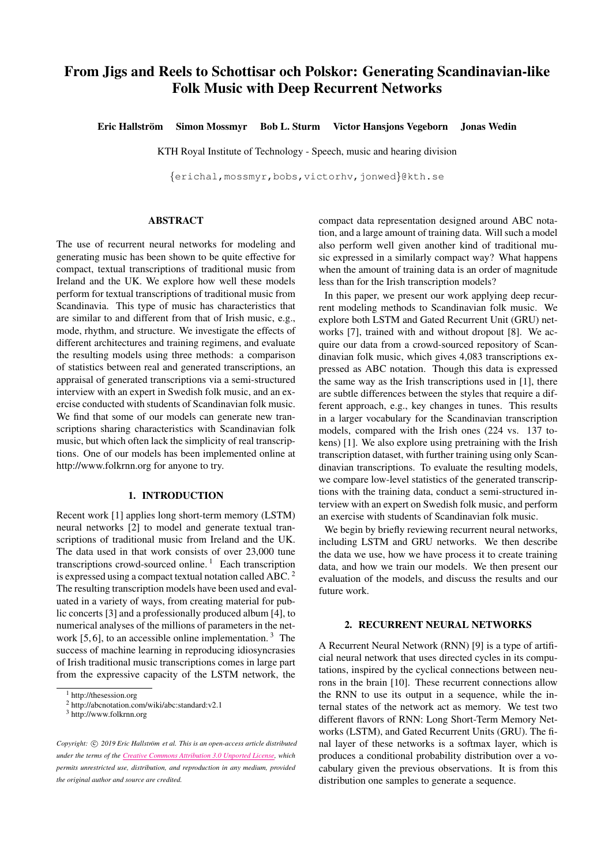# From Jigs and Reels to Schottisar och Polskor: Generating Scandinavian-like Folk Music with Deep Recurrent Networks

Eric Hallström Simon Mossmyr Bob L. Sturm Victor Hansjons Vegeborn Jonas Wedin

KTH Royal Institute of Technology - Speech, music and hearing division

{[erichal](mailto:erichal@kth.se)[,mossmyr,](mailto:mossmyr@kth.se)[bobs,](mailto:bobs@kth.se)[victorhv,](mailto:victorhv@kth.se)[jonwed](mailto:jonwed@kth.se)}@kth.se

# ABSTRACT

The use of recurrent neural networks for modeling and generating music has been shown to be quite effective for compact, textual transcriptions of traditional music from Ireland and the UK. We explore how well these models perform for textual transcriptions of traditional music from Scandinavia. This type of music has characteristics that are similar to and different from that of Irish music, e.g., mode, rhythm, and structure. We investigate the effects of different architectures and training regimens, and evaluate the resulting models using three methods: a comparison of statistics between real and generated transcriptions, an appraisal of generated transcriptions via a semi-structured interview with an expert in Swedish folk music, and an exercise conducted with students of Scandinavian folk music. We find that some of our models can generate new transcriptions sharing characteristics with Scandinavian folk music, but which often lack the simplicity of real transcriptions. One of our models has been implemented online at <http://www.folkrnn.org> for anyone to try.

### 1. INTRODUCTION

Recent work [\[1\]](#page-6-0) applies long short-term memory (LSTM) neural networks [\[2\]](#page-7-0) to model and generate textual transcriptions of traditional music from Ireland and the UK. The data used in that work consists of over 23,000 tune transcriptions crowd-sourced online.<sup>[1](#page-0-0)</sup> Each transcription is expressed using a compact textual notation called ABC. [2](#page-0-1) The resulting transcription models have been used and evaluated in a variety of ways, from creating material for public concerts [\[3\]](#page-7-1) and a professionally produced album [\[4\]](#page-7-2), to numerical analyses of the millions of parameters in the network  $[5, 6]$  $[5, 6]$ , to an accessible online implementation.<sup>[3](#page-0-2)</sup> The success of machine learning in reproducing idiosyncrasies of Irish traditional music transcriptions comes in large part from the expressive capacity of the LSTM network, the

compact data representation designed around ABC notation, and a large amount of training data. Will such a model also perform well given another kind of traditional music expressed in a similarly compact way? What happens when the amount of training data is an order of magnitude less than for the Irish transcription models?

In this paper, we present our work applying deep recurrent modeling methods to Scandinavian folk music. We explore both LSTM and Gated Recurrent Unit (GRU) networks [\[7\]](#page-7-5), trained with and without dropout [\[8\]](#page-7-6). We acquire our data from a crowd-sourced repository of Scandinavian folk music, which gives 4,083 transcriptions expressed as ABC notation. Though this data is expressed the same way as the Irish transcriptions used in [\[1\]](#page-6-0), there are subtle differences between the styles that require a different approach, e.g., key changes in tunes. This results in a larger vocabulary for the Scandinavian transcription models, compared with the Irish ones (224 vs. 137 tokens) [\[1\]](#page-6-0). We also explore using pretraining with the Irish transcription dataset, with further training using only Scandinavian transcriptions. To evaluate the resulting models, we compare low-level statistics of the generated transcriptions with the training data, conduct a semi-structured interview with an expert on Swedish folk music, and perform an exercise with students of Scandinavian folk music.

We begin by briefly reviewing recurrent neural networks, including LSTM and GRU networks. We then describe the data we use, how we have process it to create training data, and how we train our models. We then present our evaluation of the models, and discuss the results and our future work.

#### 2. RECURRENT NEURAL NETWORKS

A Recurrent Neural Network (RNN) [\[9\]](#page-7-7) is a type of artificial neural network that uses directed cycles in its computations, inspired by the cyclical connections between neurons in the brain [\[10\]](#page-7-8). These recurrent connections allow the RNN to use its output in a sequence, while the internal states of the network act as memory. We test two different flavors of RNN: Long Short-Term Memory Networks (LSTM), and Gated Recurrent Units (GRU). The final layer of these networks is a softmax layer, which is produces a conditional probability distribution over a vocabulary given the previous observations. It is from this distribution one samples to generate a sequence.

<span id="page-0-0"></span><sup>1</sup> <http://thesession.org>

<span id="page-0-1"></span><sup>2</sup> <http://abcnotation.com/wiki/abc:standard:v2.1>

<span id="page-0-2"></span><sup>3</sup> <http://www.folkrnn.org>

*Copyright:*  $\odot$  2019 *Eric Hallström et al. This is an open-access article distributed under the terms of the Creative Commons [Attribution](http://creativecommons.org/licenses/by/3.0/) 3.0 Unported License, which permits unrestricted use, distribution, and reproduction in any medium, provided the original author and source are credited.*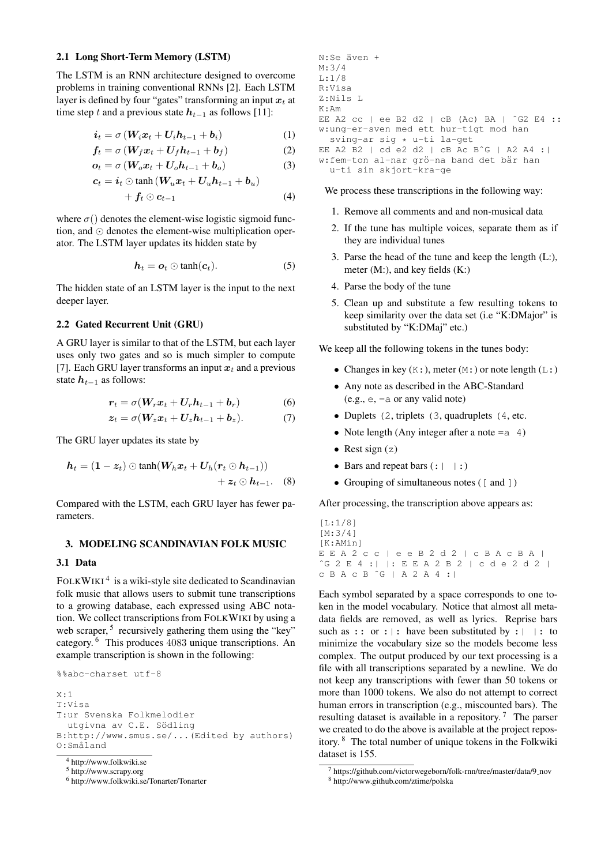#### 2.1 Long Short-Term Memory (LSTM)

The LSTM is an RNN architecture designed to overcome problems in training conventional RNNs [\[2\]](#page-7-0). Each LSTM layer is defined by four "gates" transforming an input  $x_t$  at time step t and a previous state  $h_{t-1}$  as follows [\[11\]](#page-7-9):

$$
\dot{\mathbf{i}}_t = \sigma \left( \mathbf{W}_i \mathbf{x}_t + \mathbf{U}_i \mathbf{h}_{t-1} + \mathbf{b}_i \right) \tag{1}
$$

$$
f_t = \sigma \left( W_f x_t + U_f h_{t-1} + b_f \right) \tag{2}
$$

$$
o_t = \sigma \left( W_o x_t + U_o h_{t-1} + b_o \right) \tag{3}
$$

$$
\boldsymbol{c}_{t}=\boldsymbol{i}_{t}\odot\mathrm{tanh}\left(\boldsymbol{W}_{u}\boldsymbol{x}_{t}+\boldsymbol{U}_{u}\boldsymbol{h}_{t-1}+\boldsymbol{b}_{u}\right)
$$

$$
+ f_t \odot c_{t-1} \tag{4}
$$

where  $\sigma()$  denotes the element-wise logistic sigmoid function, and  $\odot$  denotes the element-wise multiplication operator. The LSTM layer updates its hidden state by

$$
\boldsymbol{h}_t = \boldsymbol{o}_t \odot \tanh(\boldsymbol{c}_t). \tag{5}
$$

The hidden state of an LSTM layer is the input to the next deeper layer.

#### 2.2 Gated Recurrent Unit (GRU)

A GRU layer is similar to that of the LSTM, but each layer uses only two gates and so is much simpler to compute [\[7\]](#page-7-5). Each GRU layer transforms an input  $x_t$  and a previous state  $h_{t-1}$  as follows:

$$
r_t = \sigma(W_r x_t + U_r h_{t-1} + b_r)
$$
 (6)

$$
z_t = \sigma(W_z x_t + U_z h_{t-1} + b_z). \tag{7}
$$

The GRU layer updates its state by

$$
h_t = (1 - z_t) \odot \tanh(W_h x_t + U_h (r_t \odot h_{t-1}))
$$
  
+  $z_t \odot h_{t-1}$ . (8)

Compared with the LSTM, each GRU layer has fewer parameters.

#### 3. MODELING SCANDINAVIAN FOLK MUSIC

# 3.1 Data

FOLKWIKI<sup>[4](#page-1-0)</sup> is a wiki-style site dedicated to Scandinavian folk music that allows users to submit tune transcriptions to a growing database, each expressed using ABC notation. We collect transcriptions from FOLKWIKI by using a web scraper,<sup>[5](#page-1-1)</sup> recursively gathering them using the "key" category. [6](#page-1-2) This produces 4083 unique transcriptions. An example transcription is shown in the following:

```
%%abc-charset utf-8
X:1
T:Visa
T:ur Svenska Folkmelodier
  utgivna av C.E. Södling
B:http://www.smus.se/...(Edited by authors)
O:Småland
```

```
6 http://www.folkwiki.se/Tonarter/Tonarter
```

```
N:Se även +
M:3/4
L:1/8
R:Visa
Z:Nils L
K:Am
EE A2 cc | ee B2 d2 | cB (Ac) BA | ˆG2 E4 ::
w:ung-er-sven med ett hur-tigt mod han
 sving-ar sig * u-ti la-get
EE A2 B2 | cd e2 d2 | cB Ac BˆG | A2 A4 :|
w:fem-ton al-nar grö-na band det bär han
  u-ti sin skjort-kra-ge
```
We process these transcriptions in the following way:

- 1. Remove all comments and and non-musical data
- 2. If the tune has multiple voices, separate them as if they are individual tunes
- 3. Parse the head of the tune and keep the length (L:), meter (M:), and key fields (K:)
- 4. Parse the body of the tune
- 5. Clean up and substitute a few resulting tokens to keep similarity over the data set (i.e "K:DMajor" is substituted by "K:DMaj" etc.)

We keep all the following tokens in the tunes body:

- Changes in key  $(K:),$  meter  $(M:)$  or note length  $(L:)$
- Any note as described in the ABC-Standard (e.g., e, =a or any valid note)
- Duplets (2, triplets (3, quadruplets (4, etc.
- Note length (Any integer after a note  $=a$  4)
- Rest sign  $(z)$
- Bars and repeat bars  $(:| |:)$
- Grouping of simultaneous notes ([ and ])

After processing, the transcription above appears as:

 $[I:1/8]$ [M:3/4] [K:AMin] E E A 2 c c | e e B 2 d 2 | c B A c B A | ˆG 2 E 4 :| |: E E A 2 B 2 | c d e 2 d 2 | c B A c B ˆG | A 2 A 4 :|

Each symbol separated by a space corresponds to one token in the model vocabulary. Notice that almost all metadata fields are removed, as well as lyrics. Reprise bars such as :: or : |: have been substituted by : | |: to minimize the vocabulary size so the models become less complex. The output produced by our text processing is a file with all transcriptions separated by a newline. We do not keep any transcriptions with fewer than 50 tokens or more than 1000 tokens. We also do not attempt to correct human errors in transcription (e.g., miscounted bars). The resulting dataset is available in a repository.<sup>[7](#page-1-3)</sup> The parser we created to do the above is available at the project repository. [8](#page-1-4) The total number of unique tokens in the Folkwiki dataset is 155.

<span id="page-1-0"></span><sup>4</sup> <http://www.folkwiki.se>

<span id="page-1-1"></span><sup>5</sup> [http://www.scrapy.org](https://scrapy.org/)

<span id="page-1-3"></span><sup>7</sup> [https://github.com/victorwegeborn/folk-rnn/tree/master/data/9](https://github.com/victorwegeborn/folk-rnn/tree/master/data/9_nov) nov

<span id="page-1-4"></span><sup>8</sup> <http://www.github.com/ztime/polska>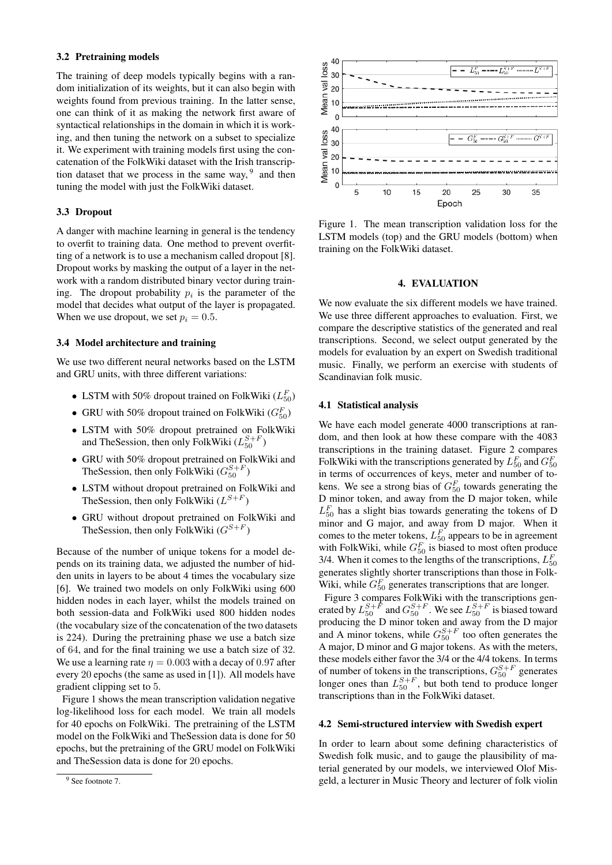### 3.2 Pretraining models

The training of deep models typically begins with a random initialization of its weights, but it can also begin with weights found from previous training. In the latter sense, one can think of it as making the network first aware of syntactical relationships in the domain in which it is working, and then tuning the network on a subset to specialize it. We experiment with training models first using the concatenation of the FolkWiki dataset with the Irish transcription dataset that we process in the same way,  $9$  and then tuning the model with just the FolkWiki dataset.

#### 3.3 Dropout

A danger with machine learning in general is the tendency to overfit to training data. One method to prevent overfitting of a network is to use a mechanism called dropout [\[8\]](#page-7-6). Dropout works by masking the output of a layer in the network with a random distributed binary vector during training. The dropout probability  $p_i$  is the parameter of the model that decides what output of the layer is propagated. When we use dropout, we set  $p_i = 0.5$ .

# 3.4 Model architecture and training

We use two different neural networks based on the LSTM and GRU units, with three different variations:

- LSTM with 50% dropout trained on FolkWiki  $(L_{50}^F)$
- GRU with 50% dropout trained on FolkWiki  $(G_{50}^F)$
- LSTM with 50% dropout pretrained on FolkWiki and TheSession, then only FolkWiki  $(L_{50}^{S+F})$
- GRU with 50% dropout pretrained on FolkWiki and TheSession, then only FolkWiki  $(G_{50}^{S+F})$
- LSTM without dropout pretrained on FolkWiki and The Session, then only Folk Wiki  $(L^{S+F})$
- GRU without dropout pretrained on FolkWiki and The Session, then only FolkWiki  $(G^{S+F})$

Because of the number of unique tokens for a model depends on its training data, we adjusted the number of hidden units in layers to be about 4 times the vocabulary size [\[6\]](#page-7-4). We trained two models on only FolkWiki using 600 hidden nodes in each layer, whilst the models trained on both session-data and FolkWiki used 800 hidden nodes (the vocabulary size of the concatenation of the two datasets is 224). During the pretraining phase we use a batch size of 64, and for the final training we use a batch size of 32. We use a learning rate  $\eta = 0.003$  with a decay of 0.97 after every 20 epochs (the same as used in [\[1\]](#page-6-0)). All models have gradient clipping set to 5.

Figure [1](#page-2-1) shows the mean transcription validation negative log-likelihood loss for each model. We train all models for 40 epochs on FolkWiki. The pretraining of the LSTM model on the FolkWiki and TheSession data is done for 50 epochs, but the pretraining of the GRU model on FolkWiki and TheSession data is done for 20 epochs.

<span id="page-2-1"></span>

Figure 1. The mean transcription validation loss for the LSTM models (top) and the GRU models (bottom) when training on the FolkWiki dataset.

#### 4. EVALUATION

We now evaluate the six different models we have trained. We use three different approaches to evaluation. First, we compare the descriptive statistics of the generated and real transcriptions. Second, we select output generated by the models for evaluation by an expert on Swedish traditional music. Finally, we perform an exercise with students of Scandinavian folk music.

### 4.1 Statistical analysis

We have each model generate 4000 transcriptions at random, and then look at how these compare with the 4083 transcriptions in the training dataset. Figure [2](#page-3-0) compares FolkWiki with the transcriptions generated by  $L_{50}^F$  and  $G_{50}^F$ in terms of occurrences of keys, meter and number of tokens. We see a strong bias of  $G_{50}^F$  towards generating the D minor token, and away from the D major token, while  $L_{50}^F$  has a slight bias towards generating the tokens of D minor and G major, and away from D major. When it comes to the meter tokens,  $L_{50}^{F}$  appears to be in agreement with FolkWiki, while  $G_{50}^F$  is biased to most often produce 3/4. When it comes to the lengths of the transcriptions,  $L_{50}^F$ generates slightly shorter transcriptions than those in Folk-Wiki, while  $G_{50}^F$  generates transcriptions that are longer.

Figure [3](#page-3-1) compares FolkWiki with the transcriptions generated by  $L_{50}^{S+F}$  and  $G_{50}^{S+F}$ . We see  $L_{50}^{S+F}$  is biased toward producing the D minor token and away from the D major and A minor tokens, while  $G_{50}^{S+F}$  too often generates the A major, D minor and G major tokens. As with the meters, these models either favor the 3/4 or the 4/4 tokens. In terms of number of tokens in the transcriptions,  $G_{50}^{S+F}$  generates longer ones than  $L_{50}^{S+F}$ , but both tend to produce longer transcriptions than in the FolkWiki dataset.

### 4.2 Semi-structured interview with Swedish expert

In order to learn about some defining characteristics of Swedish folk music, and to gauge the plausibility of material generated by our models, we interviewed Olof Misgeld, a lecturer in Music Theory and lecturer of folk violin

<span id="page-2-0"></span><sup>&</sup>lt;sup>9</sup> See footnote 7.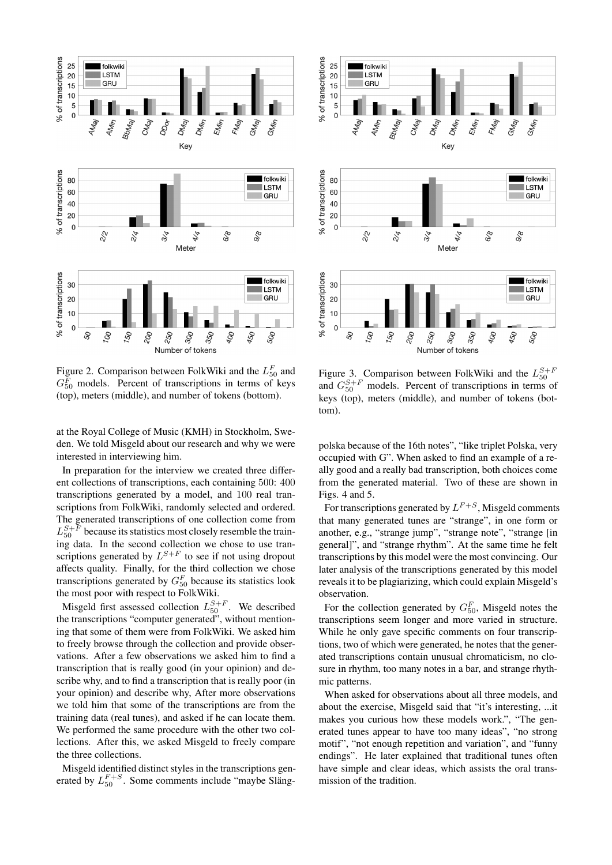<span id="page-3-0"></span>

Figure 2. Comparison between FolkWiki and the  $L_{50}^F$  and  $G_{50}^F$  models. Percent of transcriptions in terms of keys (top), meters (middle), and number of tokens (bottom).

at the Royal College of Music (KMH) in Stockholm, Sweden. We told Misgeld about our research and why we were interested in interviewing him.

In preparation for the interview we created three different collections of transcriptions, each containing 500: 400 transcriptions generated by a model, and 100 real transcriptions from FolkWiki, randomly selected and ordered. The generated transcriptions of one collection come from  $L_{50}^{S+F}$  because its statistics most closely resemble the training data. In the second collection we chose to use transcriptions generated by  $L^{S+F}$  to see if not using dropout affects quality. Finally, for the third collection we chose transcriptions generated by  $G_{50}^F$  because its statistics look the most poor with respect to FolkWiki.

Misgeld first assessed collection  $L_{50}^{S+F}$ . We described the transcriptions "computer generated", without mentioning that some of them were from FolkWiki. We asked him to freely browse through the collection and provide observations. After a few observations we asked him to find a transcription that is really good (in your opinion) and describe why, and to find a transcription that is really poor (in your opinion) and describe why, After more observations we told him that some of the transcriptions are from the training data (real tunes), and asked if he can locate them. We performed the same procedure with the other two collections. After this, we asked Misgeld to freely compare the three collections.

Misgeld identified distinct styles in the transcriptions generated by  $L_{50}^{F+S}$ . Some comments include "maybe Släng-

<span id="page-3-1"></span>

Figure 3. Comparison between FolkWiki and the  $L_{50}^{S+F}$  and  $G_{50}^{S+F}$  models. Percent of transcriptions in terms of keys (top), meters (middle), and number of tokens (bottom).

polska because of the 16th notes", "like triplet Polska, very occupied with G". When asked to find an example of a really good and a really bad transcription, both choices come from the generated material. Two of these are shown in Figs. [4](#page-4-0) and [5.](#page-4-1)

For transcriptions generated by  $L^{F+S}$ , Misgeld comments that many generated tunes are "strange", in one form or another, e.g., "strange jump", "strange note", "strange [in general]", and "strange rhythm". At the same time he felt transcriptions by this model were the most convincing. Our later analysis of the transcriptions generated by this model reveals it to be plagiarizing, which could explain Misgeld's observation.

For the collection generated by  $G_{50}^F$ , Misgeld notes the transcriptions seem longer and more varied in structure. While he only gave specific comments on four transcriptions, two of which were generated, he notes that the generated transcriptions contain unusual chromaticism, no closure in rhythm, too many notes in a bar, and strange rhythmic patterns.

When asked for observations about all three models, and about the exercise, Misgeld said that "it's interesting, ...it makes you curious how these models work.", "The generated tunes appear to have too many ideas", "no strong motif", "not enough repetition and variation", and "funny endings". He later explained that traditional tunes often have simple and clear ideas, which assists the oral transmission of the tradition.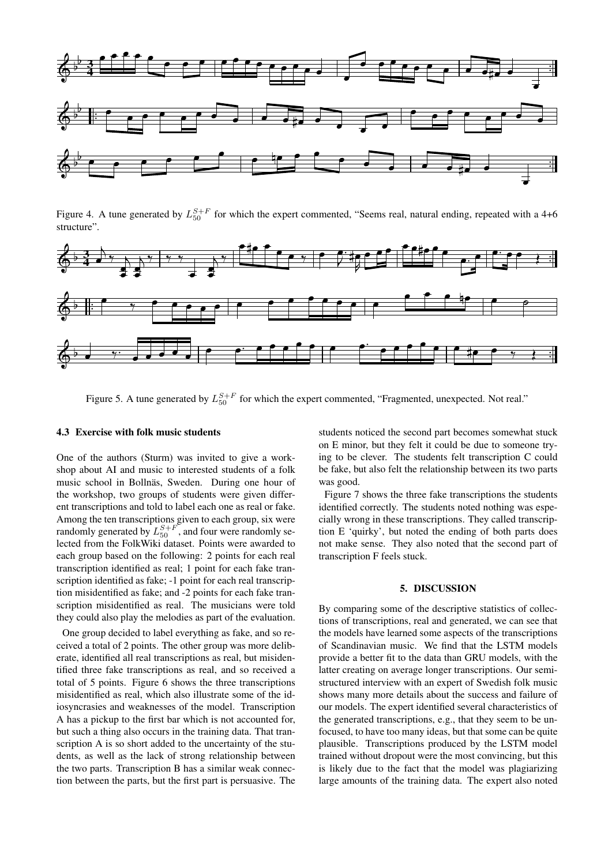

<span id="page-4-0"></span>Figure 4. A tune generated by  $L_{50}^{S+F}$  for which the expert commented, "Seems real, natural ending, repeated with a 4+6 structure".



<span id="page-4-1"></span>Figure 5. A tune generated by  $L_{50}^{S+F}$  for which the expert commented, "Fragmented, unexpected. Not real."

# 4.3 Exercise with folk music students

One of the authors (Sturm) was invited to give a workshop about AI and music to interested students of a folk music school in Bollnäs, Sweden. During one hour of the workshop, two groups of students were given different transcriptions and told to label each one as real or fake. Among the ten transcriptions given to each group, six were randomly generated by  $L_{50}^{S+F}$ , and four were randomly selected from the FolkWiki dataset. Points were awarded to each group based on the following: 2 points for each real transcription identified as real; 1 point for each fake transcription identified as fake; -1 point for each real transcription misidentified as fake; and -2 points for each fake transcription misidentified as real. The musicians were told they could also play the melodies as part of the evaluation.

One group decided to label everything as fake, and so received a total of 2 points. The other group was more deliberate, identified all real transcriptions as real, but misidentified three fake transcriptions as real, and so received a total of 5 points. Figure [6](#page-5-0) shows the three transcriptions misidentified as real, which also illustrate some of the idiosyncrasies and weaknesses of the model. Transcription A has a pickup to the first bar which is not accounted for, but such a thing also occurs in the training data. That transcription A is so short added to the uncertainty of the students, as well as the lack of strong relationship between the two parts. Transcription B has a similar weak connection between the parts, but the first part is persuasive. The students noticed the second part becomes somewhat stuck on E minor, but they felt it could be due to someone trying to be clever. The students felt transcription C could be fake, but also felt the relationship between its two parts was good.

Figure [7](#page-6-1) shows the three fake transcriptions the students identified correctly. The students noted nothing was especially wrong in these transcriptions. They called transcription E 'quirky', but noted the ending of both parts does not make sense. They also noted that the second part of transcription F feels stuck.

### 5. DISCUSSION

By comparing some of the descriptive statistics of collections of transcriptions, real and generated, we can see that the models have learned some aspects of the transcriptions of Scandinavian music. We find that the LSTM models provide a better fit to the data than GRU models, with the latter creating on average longer transcriptions. Our semistructured interview with an expert of Swedish folk music shows many more details about the success and failure of our models. The expert identified several characteristics of the generated transcriptions, e.g., that they seem to be unfocused, to have too many ideas, but that some can be quite plausible. Transcriptions produced by the LSTM model trained without dropout were the most convincing, but this is likely due to the fact that the model was plagiarizing large amounts of the training data. The expert also noted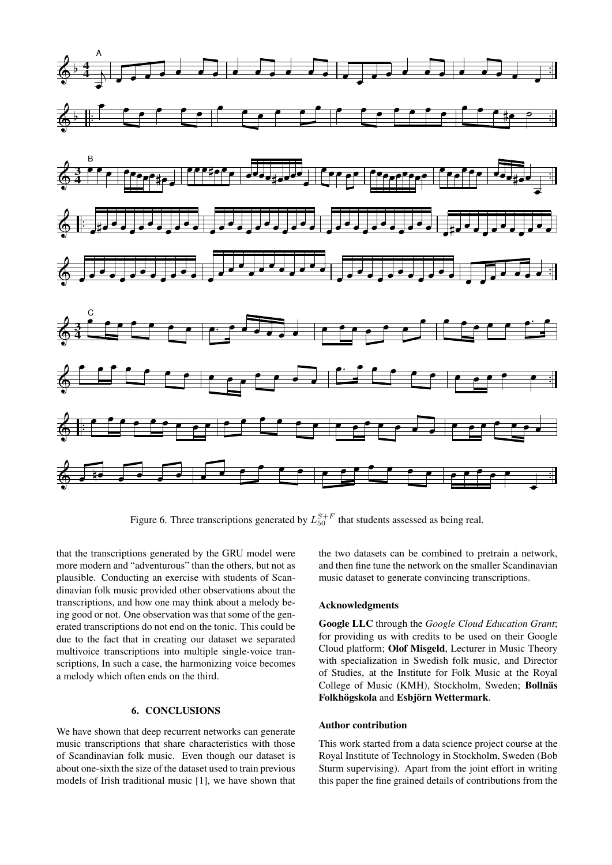

<span id="page-5-0"></span>Figure 6. Three transcriptions generated by  $L_{50}^{S+F}$  that students assessed as being real.

that the transcriptions generated by the GRU model were more modern and "adventurous" than the others, but not as plausible. Conducting an exercise with students of Scandinavian folk music provided other observations about the transcriptions, and how one may think about a melody being good or not. One observation was that some of the generated transcriptions do not end on the tonic. This could be due to the fact that in creating our dataset we separated multivoice transcriptions into multiple single-voice transcriptions, In such a case, the harmonizing voice becomes a melody which often ends on the third.

### 6. CONCLUSIONS

We have shown that deep recurrent networks can generate music transcriptions that share characteristics with those of Scandinavian folk music. Even though our dataset is about one-sixth the size of the dataset used to train previous models of Irish traditional music [\[1\]](#page-6-0), we have shown that the two datasets can be combined to pretrain a network, and then fine tune the network on the smaller Scandinavian music dataset to generate convincing transcriptions.

### Acknowledgments

Google LLC through the *Google Cloud Education Grant*; for providing us with credits to be used on their Google Cloud platform; Olof Misgeld, Lecturer in Music Theory with specialization in Swedish folk music, and Director of Studies, at the Institute for Folk Music at the Royal College of Music (KMH), Stockholm, Sweden; Bollnäs Folkhögskola and Esbjörn Wettermark.

### Author contribution

This work started from a data science project course at the Royal Institute of Technology in Stockholm, Sweden (Bob Sturm supervising). Apart from the joint effort in writing this paper the fine grained details of contributions from the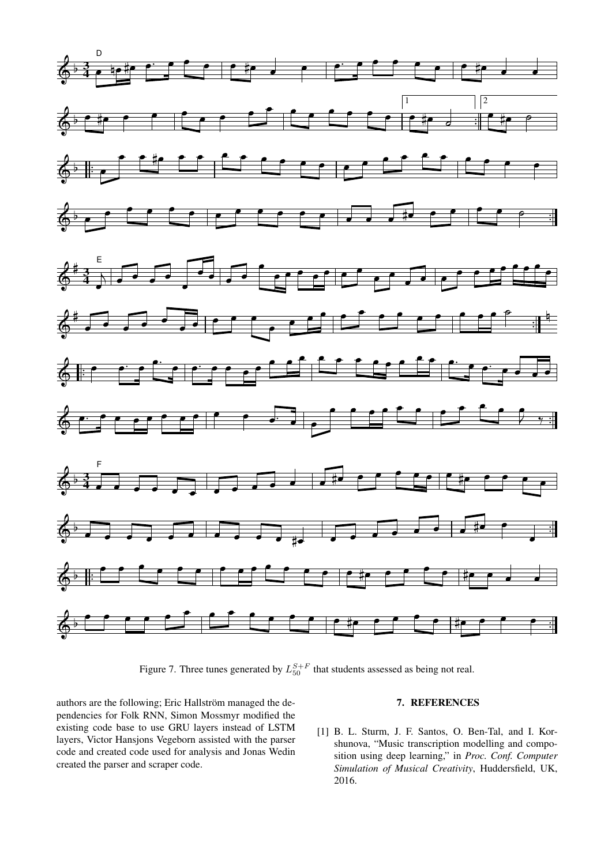

<span id="page-6-1"></span>Figure 7. Three tunes generated by  $L_{50}^{S+F}$  that students assessed as being not real.

authors are the following; Eric Hallström managed the dependencies for Folk RNN, Simon Mossmyr modified the existing code base to use GRU layers instead of LSTM layers, Victor Hansjons Vegeborn assisted with the parser code and created code used for analysis and Jonas Wedin created the parser and scraper code.

# 7. REFERENCES

<span id="page-6-0"></span>[1] B. L. Sturm, J. F. Santos, O. Ben-Tal, and I. Korshunova, "Music transcription modelling and composition using deep learning," in *Proc. Conf. Computer Simulation of Musical Creativity*, Huddersfield, UK, 2016.